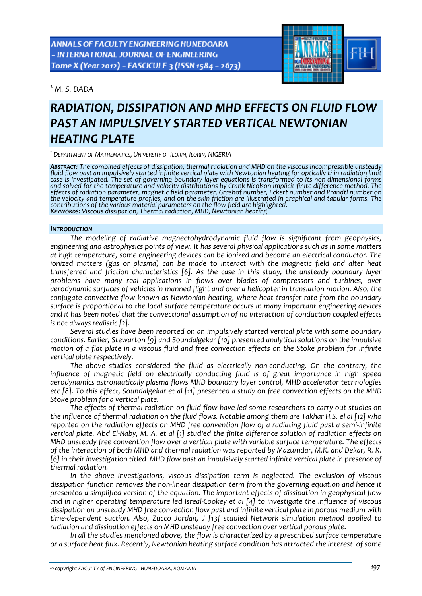**ANNALS OF FACULTY ENGINEERING HUNEDOARA** - INTERNATIONAL JOURNAL OF ENGINEERING Tome X (Year 2012) - FASCICULE 3 (ISSN 1584 - 2673)

*1.M. S. DADA* 



# *RADIATION, DISSIPATION AND MHD EFFECTS ON FLUID FLOW PAST AN IMPULSIVELY STARTED VERTICAL NEWTONIAN HEATING PLATE*

*1.DEPARTMENT OF MATHEMATICS, UNIVERSITY OF ILORIN, ILORIN, NIGERIA*

**Abstract:** The combined effects of dissipation, thermal radiation and MHD on the viscous incompressible unsteady<br>fluid flow past an impulsively started infinite vertical plate with Newtonian heating for optically thin rad case is investigated. The set of governing boundary layer equations is transformed to its non-dimensional forms<br>and solved for the temperature and velocity distributions by Crank Nicolson implicit finite difference method. *effects of radiation parameter, magnetic field parameter, Grashof number, Eckert number and Prandtl number on* the velocity and temperature profiles, and on the skin friction are illustrated in graphical and tabular forms. The contributions of the various material parameters on the flow field are highlighted.<br>**K**EYWORDS: Viscous dissipation, Thermal radiation, MHD, Newtonian heating

# *INTRODUCTION*

*The modeling of radiative magnectohydrodynamic fluid flow is significant from geophysics, engineering and astrophysics points of view. It has several physical applications such as in some matters at high temperature, some engineering devices can be ionized and become an electrical conductor. The ionized matters (gas or plasma) can be made to interact with the magnetic field and alter heat transferred and friction characteristics [6]. As the case in this study, the unsteady boundary layer problems have many real applications in flows over blades of compressors and turbines, over aerodynamic surfaces of vehicles in manned flight and over a helicopter in translation motion. Also, the conjugate convective flow known as Newtonian heating, where heat transfer rate from the boundary surface is proportional to the local surface temperature occurs in many important engineering devices and it has been noted that the convectional assumption of no interaction of conduction coupled effects is not always realistic [2].* 

*Several studies have been reported on an impulsively started vertical plate with some boundary conditions. Earlier, Stewarton [9] and Soundalgekar [10] presented analytical solutions on the impulsive* motion of a flat plate in a viscous fluid and free convection effects on the Stoke problem for infinite *vertical plate respectively.*

*The above studies considered the fluid as electrically non‐conducting. On the contrary, the influence of magnetic field on electrically conducting fluid is of great importance in high speed aerodynamics astronautically plasma flows MHD boundary layer control, MHD accelerator technologies* etc [8]. To this effect, Soundalgekar et al [11] presented a study on free convection effects on the MHD *Stoke problem for a vertical plate.*

*The effects of thermal radiation on fluid flow have led some researchers to carry out studies on* the influence of thermal radiation on the fluid flows. Notable among them are Takhar H.S. el al [12] who reported on the radiation effects on MHD free convention flow of a radiating fluid past a semi-infinite vertical plate. Abd El-Naby, M. A. et al [1] studied the finite difference solution of radiation effects on *MHD unsteady free convention flow over a vertical plate with variable surface temperature. The effects* of the interaction of both MHD and thermal radiation was reported by Mazumdar, M.K. and Dekar, R.K. [6] in their investigation titled MHD flow past an impulsively started infinite vertical plate in presence of *thermal radiation.* 

*In the above investigations, viscous dissipation term is neglected. The exclusion of viscous dissipation function removes the non‐linear dissipation term from the governing equation and hence it presented a simplified version of the equation. The important effects of dissipation in geophysical flow* and in higher operating temperature led Isreal-Cookey et al [4] to investigate the influence of viscous *dissipation on unsteady MHD free convection flow past and infinite vertical plate in porous medium with time‐dependent suction. Also, Zucco Jordan, J [13] studied Network simulation method applied to radiation and dissipation effects on MHD unsteady free convection over vertical porous plate.* 

*In all the studies mentioned above, the flow is characterized by a prescribed surface temperature or a surface heat flux. Recently, Newtonian heating surface condition has attracted the interest of some*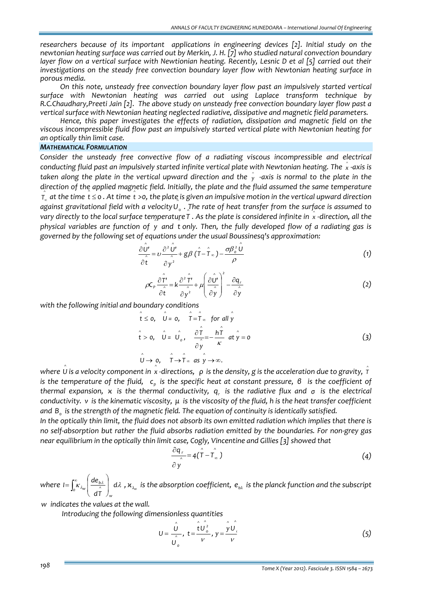*researchers because of its important applications in engineering devices [2]. Initial study on the newtonian heating surface was carried out by Merkin, J. H. [7] who studied natural convection boundary* laver flow on a vertical surface with Newtionian heating. Recently, Lesnic D et al [5] carried out their *investigations on the steady free convection boundary layer flow with Newtonian heating surface in porous media.* 

*On this note, unsteady free convection boundary layer flow past an impulsively started vertical surface with Newtonian heating was carried out using Laplace transform technique by R.C.Chaudhary,Preeti Jain [2]. The above study on unsteady free convection boundary layer flow past a vertical surface with Newtonian heating neglected radiative, dissipative and magnetic field parameters.*

*Hence, this paper investigates the effects of radiation, dissipation and magnetic field on the viscous incompressible fluid flow past an impulsively started vertical plate with Newtonian heating for an optically thin limit case.*

# *MATHEMATICAL FORMULATION*

*Consider the unsteady free convective flow of a radiating viscous incompressible and electrical* conducting fluid past an impulsively started infinite vertical plate with Newtonian heating. The  $\stackrel{\circ}{x}$  -axis is taken along the plate in the vertical upward direction and the  $\hat{{\mathsf{y}}}$  -axis is normal to the plate in the *direction of the applied magnetic field. Initially, the plate and the fluid assumed the same temperature* ^  $\hat{\tau}_x$  at the time  $\hat{t} \leq 0$ . At time  $\hat{t} > 0$ , the plate is given an impulsive motion in the vertical upward direction against gravitational field with a velocity  $\hat{U}_o$  . The rate of heat transfer from the surface is assumed to vary directly to the local surface temperature  $\hat{r}$  . As the plate is considered infinite in  $\hat{x}$  -direction, all the  $\mu$  is the computation of  $\mu$  and t only. Then, the fully developed flow of a radiating gas is *governed by the following set of equations under the usual Boussinesq's approximation:*

$$
\frac{\partial \overset{\circ}{\mathbf{U}}\overset{\circ}{\mathbf{U}}}{\partial \overset{\circ}{\mathbf{t}}} = \upsilon \frac{\partial^2 \overset{\circ}{\mathbf{U}}\overset{\circ}{\mathbf{U}}}{\partial \overset{\circ}{\mathbf{y}}^2} + g\beta (\overset{\circ}{\mathbf{T}} - \overset{\circ}{\mathbf{T}}_{\infty}) - \frac{\sigma \beta_o^2 \overset{\circ}{\mathbf{U}}}{\rho}
$$
\n(1)

$$
\rho C_p \frac{\partial \hat{\vec{r}}'}{\partial \hat{t}} = k \frac{\partial^2 \hat{\vec{r}}'}{\partial y^2} + \mu \left( \frac{\partial \hat{\vec{v}}'}{\partial \hat{y}} \right)^2 - \frac{\partial q_r}{\partial \hat{y}}
$$
(2)

*with the following initial and boundary conditions* 

$$
\hat{t} \leq 0, \quad \hat{U} = 0, \quad \hat{T} = \hat{T}_{\infty} \text{ for all } \hat{y}
$$
\n
$$
\hat{t} > 0, \quad \hat{U} = \hat{U}_0, \quad \frac{\partial \hat{T}}{\partial \hat{y}} = -\frac{h\hat{T}}{\kappa} \text{ at } \hat{y} = 0
$$
\n
$$
\hat{U} \to 0, \quad \hat{T} \to \hat{T}_{\infty} \text{ as } \hat{y} \to \infty.
$$
\n(3)

where  $\overset{\circ}{\mathsf{U}}$  is a velocity component in  $\overset{\circ}{x}$  -directions,  $\;$   $\rho\;$  is the density,  $g$  is the acceleration due to gravity,  $\hat{\tau}$ is the temperature of the fluid,  $c_p$  is the specific heat at constant pressure,  $\beta$  is the coefficient of *thermal expansion, κ is the thermal conductivity, qr is the radiative flux and σ is the electrical* conductivity. v is the kinematic viscosity,  $\mu$  is the viscosity of the fluid, h is the heat transfer coefficient *and B*<sup>0</sup> *is the strength of the magnetic field. The equation of continuity is identically satisfied.*

In the optically thin limit, the fluid does not absorb its own emitted radiation which implies that there is no self-absorption but rather the fluid absorbs radiation emitted by the boundaries. For non-grey gas *near equilibrium in the optically thin limit case, Cogly, Vincentine and Gillies [3] showed that*

$$
\frac{\partial q_r}{\partial y} = 4(\hat{T} - \hat{T}_{\infty})
$$
\n(4)

where  $I = \left[\kappa_{\lambda_{\alpha}}\right] \frac{dE_{b\lambda}}{\lambda}$  d $\lambda$ *dT*  $I = \int_{0}^{\infty} K_{\lambda u} \frac{d\theta}{dx}$ *w*  $\left[\frac{K_{\lambda_w}}{K_{\lambda_w}}\right]\frac{dC_{b\lambda}}{K_{\lambda_w}}$  $\overline{\phantom{a}}$ ⎠ ⎞  $\overline{a}$  $\mathsf I$  $=\int_0^\infty \!\!\! \kappa_{\lambda_{\sf w}}\!\left(\frac{d e_{\rm b\lambda}}{d\hat T}\right)_{\!\! {\sf w}} d\lambda$  ,  $\varkappa_{\lambda_{\sf w}}$  is the absorption coefficient,  $e_{\rm b\lambda}$  is the planck function and the subscript

*w indicates the values at the wall.*

*Introducing the following dimensionless quantities*

$$
U = \frac{\hat{U}}{\hat{U}_o}, \ t = \frac{\hat{t}\hat{U}_o^2}{V}, \ y = \frac{\hat{y}\hat{U}_o}{V}
$$
 (5)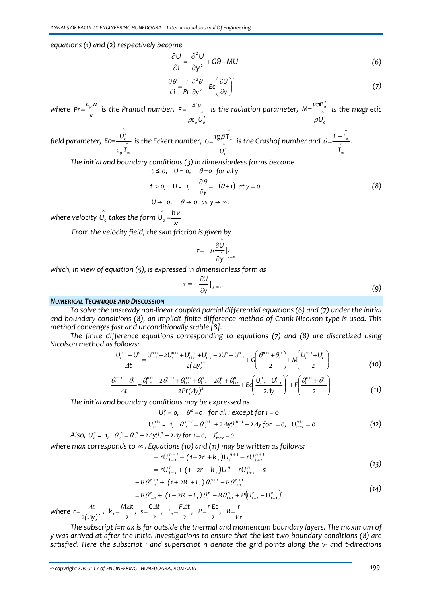*equations (1) and (2) respectively become*

$$
\frac{\partial U}{\partial i} = \frac{\partial^2 U}{\partial y^2} + G\Theta - MU \tag{6}
$$

$$
\frac{\partial \theta}{\partial i} = \frac{1}{\text{Pr}} \frac{\partial^2 \theta}{\partial y^2} + \text{Ec} \left(\frac{\partial U}{\partial y}\right)^2 \tag{7}
$$

*where*  $Pr = \frac{c_p \mu}{\kappa}$  is the Prandtl number,  $F = \frac{4l \nu}{\lambda}$  is the radiation parameter,  $M = \frac{V \sigma B_o^2}{\lambda}$  is the magnetic  $\rho U_o^2$  $F = \frac{4I}{1}$ ρ  $=\frac{4V}{\lambda}$  is the radiation parameter,  $M=\frac{V_{\text{OB}_c}}{\lambda}$ <br> $\rho U_o^2$ *2 0 U*  $M = \frac{V \sigma B}{A}$ ρ νσ = *is the magnetic*

*field parameter, ^ p ^ 2 0 c T U Ec* ∞  $=\frac{O_0}{\lambda}$  is the Eckert number,  $G=\frac{VSP}{\lambda}$ <br> $C_pT_\infty$ *^ U*  $G = \frac{v g \beta T_{\infty}}{\lambda}$  is the Grashof number and  $\theta = \frac{T - T_{\infty}}{\lambda}$ . *T T T ^ ^ ^* ∞  $\theta = \frac{T - T_{\alpha}}{4}$ 

*The initial and boundary conditions (3) in dimensionless forms become*

$$
t \le 0
$$
,  $U = 0$ ,  $\theta = 0$  for all y  
\n $t > 0$ ,  $U = 1$ ,  $\frac{\partial \theta}{\partial y} = (\theta + 1)$  at  $y = 0$   
\n $U \rightarrow 0$ ,  $\theta \rightarrow 0$  as  $y \rightarrow \infty$ . (8)

where velocity  $\hat{U_0}$  takes the form  $\hat{U_0} = \frac{hV}{K}$ 

*From the velocity field, the skin friction is given by* 

$$
\tau = \frac{\partial \hat{U}}{\partial y}\Big|_{y=0}
$$

*which, in view of equation (5), is expressed in dimensionless form as*

$$
\tau = \frac{\partial U}{\partial y}\big|_{y=0} \tag{9}
$$

# *NUMERICAL TECHNIQUE AND DISCUSSION*

*To solve the unsteady non‐linear coupled partial differential equations (6) and (7) under the initial and boundary conditions (8), an implicit finite difference method of Crank Nicolson type is used. This method converges fast and unconditionally stable [8].* 

*The finite difference equations corresponding to equations (7) and (8) are discretized using Nicolson method as follows:* 

$$
\frac{U_i^{n+1} - U_i^n}{\Delta t} = \frac{U_{i-1}^{n+1} - 2U_i^{n+1} + U_{i+1}^{n+1} + U_{i-1}^n - 2U_i^n + U_{i+1}^n}{2(\Delta y)^2} + G\left(\frac{\theta_i^{n+1} + \theta_i^n}{2}\right) + M\left(\frac{U_i^{n+1} + U_i^n}{2}\right)
$$
(10)

$$
\frac{\theta_i^{n+1} \theta_i^n}{\Delta t} = \frac{\theta_i^{n+1} \ 2\theta_i^{n+1} + \theta_{i+1}^{n+1} + \theta_i^n}{2Pr(\Delta y)^2} + E\left(\frac{U_{i+1}^n \ U_{i-1}^n}{2\Delta y}\right)^2 + F\left(\frac{\theta_i^{n+1} + \theta_i^n}{2}\right)
$$
(11)

*The initial and boundary conditions may be expressed as*

$$
U_i^0 = 0, \quad \theta_i^0 = 0 \quad \text{for all } i \text{ except for } i = 0
$$
\n
$$
U_0^{n+1} = 1, \quad \theta_0^{n+1} = \theta_2^{n+1} + 2\Delta y \theta_1^{n+1} + 2\Delta y \text{ for } i = 0, \quad U_{\text{max}}^{n+1} = 0 \tag{12}
$$

Also,  $U_{o}^{n} = 1$ ,  $\theta_{o}^{n} = \theta_{2}^{n} + 2\Delta y \theta_{1}^{n} + 2\Delta y$  for i=0,  $U_{max}^{n} = 0$ 

*where max corresponds to* ∞ *. Equations (10) and (11) may be written as follows:*

$$
-rU_{i-1}^{n+1} + (1+2r+k_1)U_i^{n+1} - rU_{i+1}^{n+1}
$$
  
=  $rU_{i-1}^n + (1-2r-k_1)U_i^n - rU_{i+1}^n - s$  (13)

$$
-10_{i-1} + (1-2i - n_1)0_i - 10_{i+1} = 3
$$
  
-
$$
-R\theta_{i-1}^{n+1} + (1+2R + F_1)\theta_i^{n+1} - R\theta_{i+1}^{n+1}
$$
 (14)

$$
=R\theta_{i-1}^n + (1-2R - F_1)\theta_i^n - R\theta_{i+1}^n + P(U_{i+1}^n - U_{i-1}^n)^2
$$

where  $r = \frac{\Delta t}{2(\Delta y)^2}$ ,  $k_1 = \frac{M\Delta t}{2}$ ,  $s = \frac{G\Delta t}{2}$ ,  $F_1 = \frac{F\Delta t}{2}$ ,  $P = \frac{rEc}{2}$ ,  $R = \frac{r}{Pr}$ .

*The subscript i=max is far outside the thermal and momentum boundary layers. The maximum of* y was arrived at after the initial investigations to ensure that the last two boundary conditions (8) are satisfied. Here the subscript i and superscript n denote the grid points along the y- and t-directions

*© copyright FACULTY of ENGINEERING ‐ HUNEDOARA, ROMANIA 199*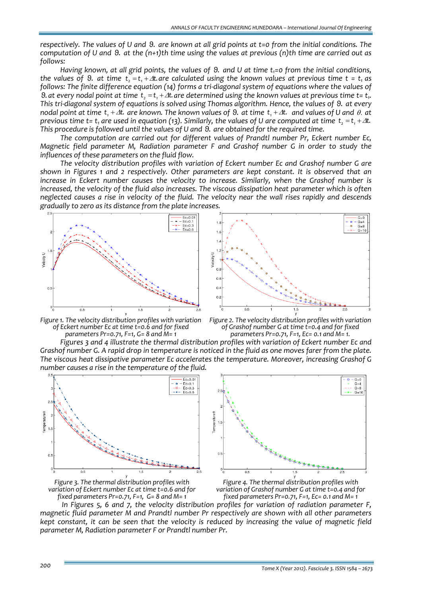respectively. The values of U and 9. are known at all grid points at t=0 from the initial conditions. The computation of U and  $\theta$ , at the  $(n+1)$ th time using the values at previous  $(n)$ th time are carried out as *follows:*

Having known, at all grid points, the values of  $\Theta$ , and U at time  $t_i = o$  from the initial conditions. the values of 9. at time  $t_1 = t_1 + \Delta t$  are calculated using the known values at previous time  $t = t_1$  as follows: The finite difference equation (14) forms a tri-diagonal system of equations where the values of 9. at every nodal point at time t, =t, + $\Delta t$  are determined using the known values at previous time t= t,. This tri-diagonal system of equations is solved using Thomas algorithm. Hence, the values of 9. at every nodal point at time  $t_1 + \Delta t$  are known. The known values of 9. at time  $t_1 + \Delta t$  and values of U and  $\theta$  at previous time t= t, are used in equation (13). Similarly, the values of U are computed at time t, = t, +  $\Delta t$ . *This procedure is followed until the values of U and θ*  . *are obtained for the required time.*

*The computation are carried out for different values of Prandtl number Pr, Eckert number Ec, Magnetic field parameter M, Radiation parameter F and Grashof number G in order to study the influences of these parameters on the fluid flow.* 

*The velocity distribution profiles with variation of Eckert number Ec and Grashof number G are shown in Figures 1 and 2 respectively. Other parameters are kept constant. It is observed that an increase in Eckert number causes the velocity to increase. Similarly, when the Grashof number is increased, the velocity of the fluid also increases. The viscous dissipation heat parameter which is often* neglected causes a rise in velocity of the fluid. The velocity near the wall rises rapidly and descends *gradually to zero as its distance from the plate increases.*





*Figure 1. The velocity distribution profiles with variation of Eckert number Ec at time t=0.6 and for fixed parameters Pr=0.71, F=1, G= 8 and M= 1*

*Figure 2. The velocity distribution profiles with variation of Grashof number G at time t=0.4 and for fixed parameters Pr=0.71, F=1, Ec= 0.1 and M= 1.*

*Figures 3 and 4 illustrate the thermal distribution profiles with variation of Eckert number Ec and* Grashof number G. A rapid drop in temperature is noticed in the fluid as one moves farer from the plate. *The viscous heat dissipative parameter Ec accelerates the temperature. Moreover, increasing Grashof G number causes a rise in the temperature of the fluid.* 





*Figure 3. The thermal distribution profiles with variation of Eckert number Ec at time t=0.6 and for fixed parameters Pr=0.71, F=1, G= 8 and M= 1*

*Figure 4. The thermal distribution profiles with variation of Grashof number G at time t=0.4 and for fixed parameters Pr=0.71, F=1, Ec= 0.1 and M= 1*

*In Figures 5, 6 and 7, the velocity distribution profiles for variation of radiation parameter F, magnetic fluid parameter M and Prandtl number Pr respectively are shown with all other parameters* kept constant, it can be seen that the velocity is reduced by increasing the value of magnetic field *parameter M, Radiation parameter F or Prandtl number Pr.*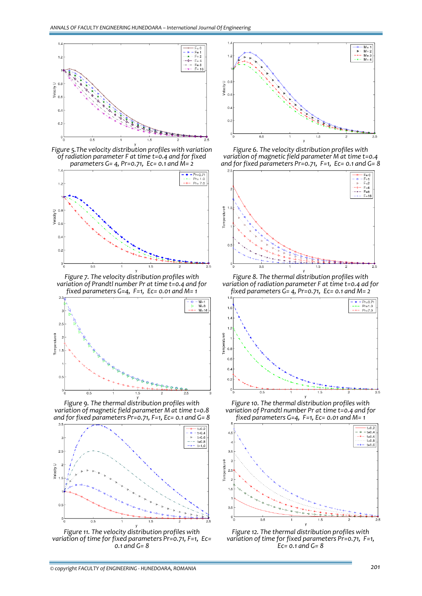

*Figure 5.The velocity distribution profiles with variation of radiation parameter F at time t=0.4 and for fixed parameters G= 4, Pr=0.71, Ec= 0.1 and M= 2*



*Figure 7. The velocity distribution profiles with variation of Prandtl number Pr at time t=0.4 and for fixed parameters G=4, F=1, Ec= 0.01 and M= 1*



*Figure 9. The thermal distribution profiles with variation of magnetic field parameter M at time t=0.8 and for fixed parameters Pr=0.71, F=1, Ec= 0.1 and G= 8*



*Figure 11. The velocity distribution profiles with variation of time for fixed parameters Pr=0.71, F=1, Ec= 0.1 and G= 8*



*Figure 6. The velocity distribution profiles with variation of magnetic field parameter M at time t=0.4 and for fixed parameters Pr=0.71, F=1, Ec= 0.1 and G= 8*



*Figure 8. The thermal distribution profiles with variation of radiation parameter F at time t=0.4 ad for fixed parameters G= 4, Pr=0.71, Ec= 0.1 and M= 2*



*Figure 10. The thermal distribution profiles with variation of Prandtl number Pr at time t=0.4 and for fixed parameters G=4, F=1, Ec= 0.01 and M= 1*



*Figure 12. The thermal distribution profiles with variation of time for fixed parameters Pr=0.71, F=1, Ec= 0.1 and G= <sup>8</sup>*